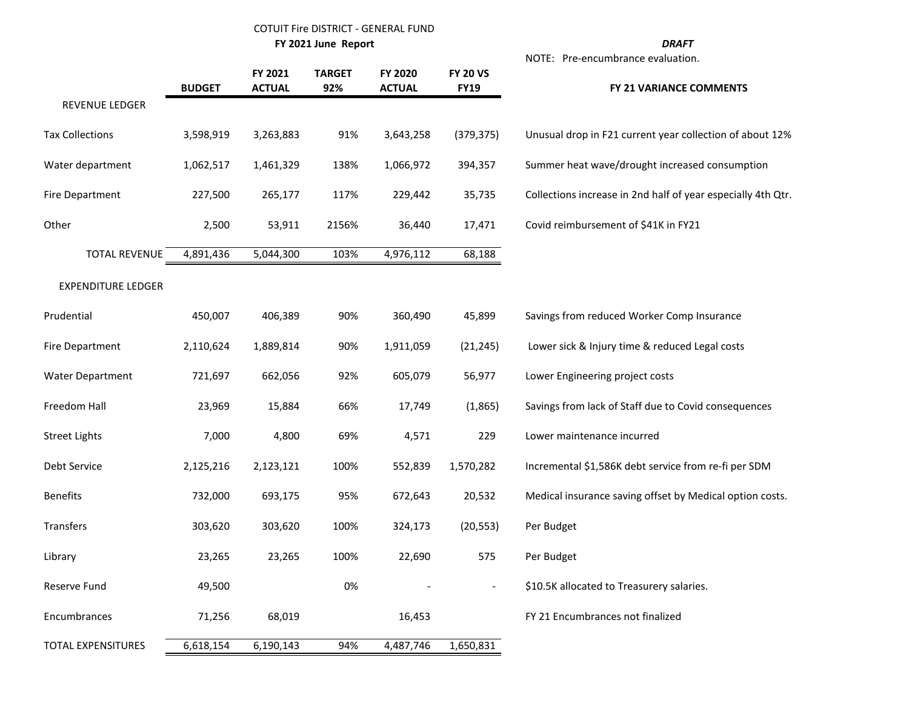### COTUIT Fire DISTRICT - GENERAL FUND

**FY 2021 June Report** *D* 

| Λ<br>σ<br>ΙR<br>ν<br>ш |  |
|------------------------|--|

NOTE: Pre-encumbrance evaluation.

|                           | <b>BUDGET</b> | FY 2021<br><b>ACTUAL</b> | <b>TARGET</b><br>92% | FY 2020<br><b>ACTUAL</b> | <b>FY 20 VS</b><br><b>FY19</b> | FY 21 VARIANCE COMMENTS                                      |
|---------------------------|---------------|--------------------------|----------------------|--------------------------|--------------------------------|--------------------------------------------------------------|
| REVENUE LEDGER            |               |                          |                      |                          |                                |                                                              |
| <b>Tax Collections</b>    | 3,598,919     | 3,263,883                | 91%                  | 3,643,258                | (379, 375)                     | Unusual drop in F21 current year collection of about 12%     |
| Water department          | 1,062,517     | 1,461,329                | 138%                 | 1,066,972                | 394,357                        | Summer heat wave/drought increased consumption               |
| <b>Fire Department</b>    | 227,500       | 265,177                  | 117%                 | 229,442                  | 35,735                         | Collections increase in 2nd half of year especially 4th Qtr. |
| Other                     | 2,500         | 53,911                   | 2156%                | 36,440                   | 17,471                         | Covid reimbursement of \$41K in FY21                         |
| <b>TOTAL REVENUE</b>      | 4,891,436     | 5,044,300                | 103%                 | 4,976,112                | 68,188                         |                                                              |
| <b>EXPENDITURE LEDGER</b> |               |                          |                      |                          |                                |                                                              |
| Prudential                | 450,007       | 406,389                  | 90%                  | 360,490                  | 45,899                         | Savings from reduced Worker Comp Insurance                   |
| <b>Fire Department</b>    | 2,110,624     | 1,889,814                | 90%                  | 1,911,059                | (21, 245)                      | Lower sick & Injury time & reduced Legal costs               |
| <b>Water Department</b>   | 721,697       | 662,056                  | 92%                  | 605,079                  | 56,977                         | Lower Engineering project costs                              |
| Freedom Hall              | 23,969        | 15,884                   | 66%                  | 17,749                   | (1,865)                        | Savings from lack of Staff due to Covid consequences         |
| <b>Street Lights</b>      | 7,000         | 4,800                    | 69%                  | 4,571                    | 229                            | Lower maintenance incurred                                   |
| Debt Service              | 2,125,216     | 2,123,121                | 100%                 | 552,839                  | 1,570,282                      | Incremental \$1,586K debt service from re-fi per SDM         |
| <b>Benefits</b>           | 732,000       | 693,175                  | 95%                  | 672,643                  | 20,532                         | Medical insurance saving offset by Medical option costs.     |
| <b>Transfers</b>          | 303,620       | 303,620                  | 100%                 | 324,173                  | (20, 553)                      | Per Budget                                                   |
| Library                   | 23,265        | 23,265                   | 100%                 | 22,690                   | 575                            | Per Budget                                                   |
| Reserve Fund              | 49,500        |                          | 0%                   |                          |                                | \$10.5K allocated to Treasurery salaries.                    |
| Encumbrances              | 71,256        | 68,019                   |                      | 16,453                   |                                | FY 21 Encumbrances not finalized                             |
| <b>TOTAL EXPENSITURES</b> | 6,618,154     | 6,190,143                | 94%                  | 4,487,746                | 1,650,831                      |                                                              |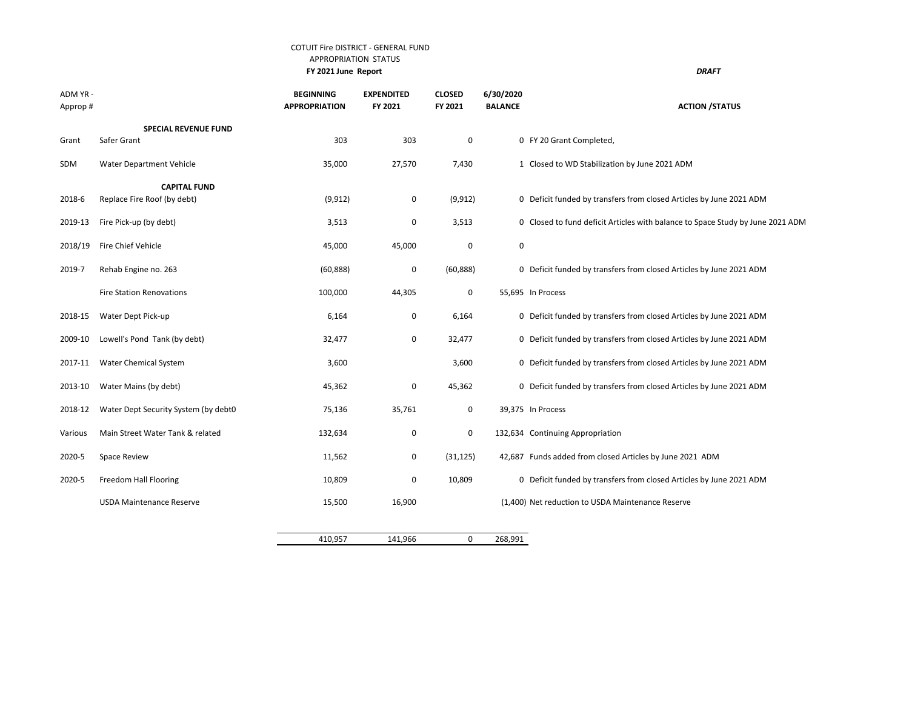#### COTUIT Fire DISTRICT - GENERAL FUND APPROPRIATION STATUS  **FY 2021 June Report** *DRAFT*

ADM YR - **BEGINNING EXPENDITED CLOSED 6/30/2020** Approp # **APPROPRIATION FY 2021 FY 2021 BALANCE ACTION /STATUS SPECIAL REVENUE FUND** Grant Safer Grant 303 303 0 0 FY 20 Grant Completed, SDM Water Department Vehicle 35,000 35,000 27,570 7,430 1 Closed to WD Stabilization by June 2021 ADM **CAPITAL FUND** 2018-6 Replace Fire Roof (by debt) (9,912) 0 (9,912) 0 Deficit funded by transfers from closed Articles by June 2021 ADM 2019-13 Fire Pick-up (by debt) 3,513 0 3,513 0 Closed to fund deficit Articles with balance to Space Study by June 2021 ADM 2018/19 Fire Chief Vehicle 45,000 45,000 0 0 2019-7 Rehab Engine no. 263 (60,888) 0 (60,888) 0 Deficit funded by transfers from closed Articles by June 2021 ADM Fire Station Renovations **100,000** 44,305 0 55,695 In Process 2018-15 Water Dept Pick-up example for the contract of the funded by transfers from closed Articles by June 2021 ADM 2009-10 Lowell's Pond Tank (by debt) 32,477 0 32,477 0 Deficit funded by transfers from closed Articles by June 2021 ADM 2017-11 Water Chemical System 3,600 3,600 0 Deficit funded by transfers from closed Articles by June 2021 ADM 2013-10 Water Mains (by debt) 45,362 0 45,362 0 Deficit funded by transfers from closed Articles by June 2021 ADM 2018-12 Water Dept Security System (by debt0 75,136 35,761 0 39,375 In Process Various Main Street Water Tank & related 132,634 132,634 0 132,634 0 132,634 Continuing Appropriation 2020-5 Space Review 11,562 0 (31,125) 42,687 Funds added from closed Articles by June 2021 ADM 2020-5 Freedom Hall Flooring 10,809 0 10,809 0 Deficit funded by transfers from closed Articles by June 2021 ADM USDA Maintenance Reserve **15,500** 16,900 (1,400) Net reduction to USDA Maintenance Reserve  $\overline{\phantom{a}}$ 

| 410,957 | 141,966 | 268,991 |
|---------|---------|---------|
|         |         |         |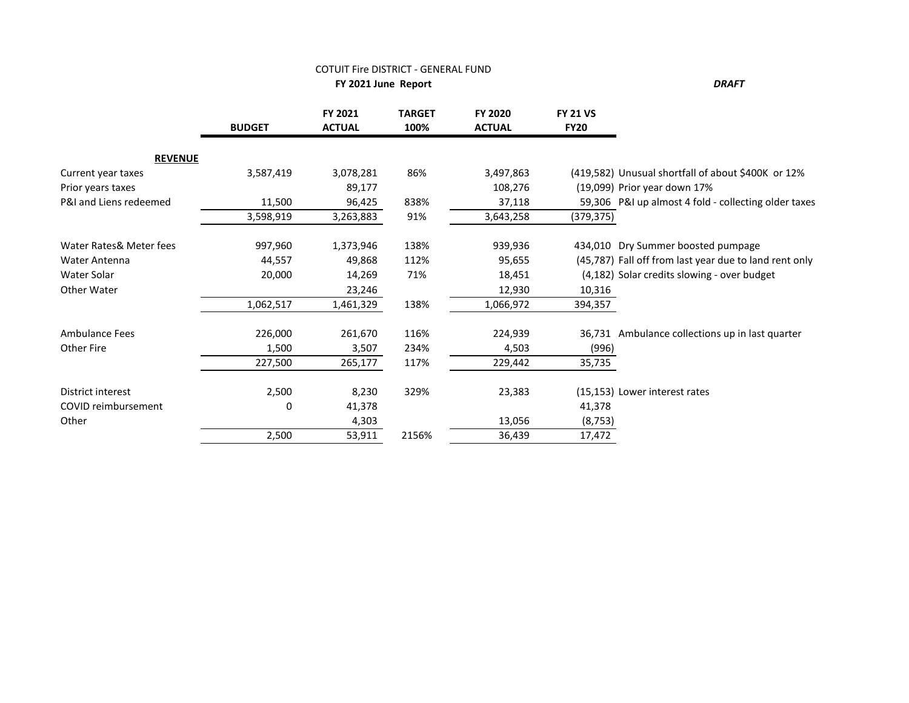### COTUIT Fire DISTRICT - GENERAL FUND

**FY 2021 June Report** 

|                         | <b>BUDGET</b> | FY 2021<br><b>ACTUAL</b> | <b>TARGET</b><br>100% | FY 2020<br><b>ACTUAL</b> | <b>FY 21 VS</b><br><b>FY20</b> |                                                        |
|-------------------------|---------------|--------------------------|-----------------------|--------------------------|--------------------------------|--------------------------------------------------------|
| <b>REVENUE</b>          |               |                          |                       |                          |                                |                                                        |
| Current year taxes      | 3,587,419     | 3,078,281                | 86%                   | 3,497,863                |                                | (419,582) Unusual shortfall of about \$400K or 12%     |
| Prior years taxes       |               | 89,177                   |                       | 108,276                  |                                | (19,099) Prior year down 17%                           |
| P&I and Liens redeemed  | 11,500        | 96,425                   | 838%                  | 37,118                   |                                | 59,306 P&I up almost 4 fold - collecting older taxes   |
|                         | 3,598,919     | 3,263,883                | 91%                   | 3,643,258                | (379, 375)                     |                                                        |
| Water Rates& Meter fees | 997,960       | 1,373,946                | 138%                  | 939,936                  |                                | 434,010 Dry Summer boosted pumpage                     |
| <b>Water Antenna</b>    | 44,557        | 49,868                   | 112%                  | 95,655                   |                                | (45,787) Fall off from last year due to land rent only |
| Water Solar             | 20,000        | 14,269                   | 71%                   | 18,451                   |                                | (4,182) Solar credits slowing - over budget            |
| Other Water             |               | 23,246                   |                       | 12,930                   | 10,316                         |                                                        |
|                         | 1,062,517     | 1,461,329                | 138%                  | 1,066,972                | 394,357                        |                                                        |
| Ambulance Fees          | 226,000       | 261,670                  | 116%                  | 224,939                  |                                | 36,731 Ambulance collections up in last quarter        |
| <b>Other Fire</b>       | 1,500         | 3,507                    | 234%                  | 4,503                    | (996)                          |                                                        |
|                         | 227,500       | 265,177                  | 117%                  | 229,442                  | 35,735                         |                                                        |
| District interest       | 2,500         | 8,230                    | 329%                  | 23,383                   |                                | (15,153) Lower interest rates                          |
| COVID reimbursement     | $\Omega$      | 41,378                   |                       |                          | 41,378                         |                                                        |
| Other                   |               | 4,303                    |                       | 13,056                   | (8, 753)                       |                                                        |
|                         | 2,500         | 53,911                   | 2156%                 | 36,439                   | 17,472                         |                                                        |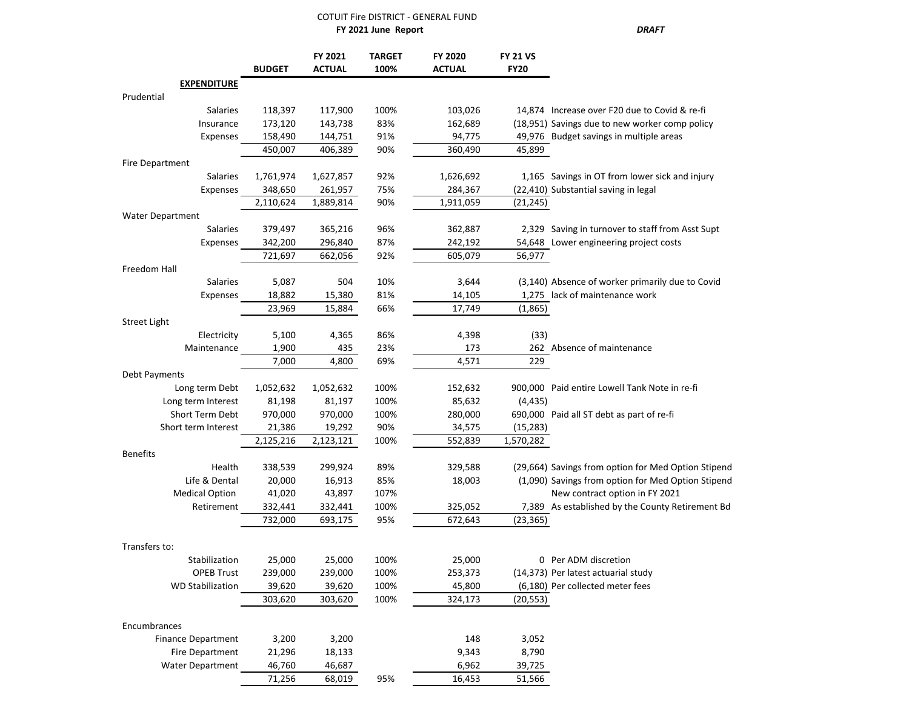#### COTUIT Fire DISTRICT - GENERAL FUND

 **FY 2021 June Report** *DRAFT*

|                                           | <b>BUDGET</b>     | FY 2021<br><b>ACTUAL</b> | <b>TARGET</b><br>100% | FY 2020<br><b>ACTUAL</b> | <b>FY 21 VS</b><br><b>FY20</b> |                                                                         |
|-------------------------------------------|-------------------|--------------------------|-----------------------|--------------------------|--------------------------------|-------------------------------------------------------------------------|
| <b>EXPENDITURE</b>                        |                   |                          |                       |                          |                                |                                                                         |
| Prudential                                |                   |                          |                       |                          |                                |                                                                         |
| Salaries                                  | 118,397           | 117,900                  | 100%                  | 103,026                  |                                | 14,874 Increase over F20 due to Covid & re-fi                           |
| Insurance                                 | 173,120           | 143,738                  | 83%                   | 162,689                  |                                | (18,951) Savings due to new worker comp policy                          |
| Expenses                                  | 158,490           | 144,751                  | 91%                   | 94,775                   |                                | 49,976 Budget savings in multiple areas                                 |
|                                           | 450,007           | 406,389                  | 90%                   | 360,490                  | 45,899                         |                                                                         |
| Fire Department                           |                   |                          |                       |                          |                                |                                                                         |
| Salaries                                  | 1,761,974         | 1,627,857                | 92%                   | 1,626,692                |                                | 1,165 Savings in OT from lower sick and injury                          |
| Expenses                                  | 348,650           | 261,957                  | 75%                   | 284,367                  |                                | (22,410) Substantial saving in legal                                    |
|                                           | 2,110,624         | 1,889,814                | 90%                   | 1,911,059                | (21, 245)                      |                                                                         |
| <b>Water Department</b>                   |                   |                          |                       |                          |                                |                                                                         |
| Salaries                                  | 379,497           | 365,216                  | 96%                   | 362,887                  |                                | 2,329 Saving in turnover to staff from Asst Supt                        |
| Expenses                                  | 342,200           | 296,840                  | 87%                   | 242,192                  |                                | 54,648 Lower engineering project costs                                  |
|                                           | 721,697           | 662,056                  | 92%                   | 605,079                  | 56,977                         |                                                                         |
| Freedom Hall                              |                   |                          |                       |                          |                                |                                                                         |
| Salaries                                  | 5,087             | 504                      | 10%                   | 3,644                    |                                | (3,140) Absence of worker primarily due to Covid                        |
| Expenses                                  | 18,882            | 15,380                   | 81%                   | 14,105                   |                                | 1,275 lack of maintenance work                                          |
|                                           | 23,969            | 15,884                   | 66%                   | 17,749                   | (1,865)                        |                                                                         |
| <b>Street Light</b>                       |                   |                          |                       |                          |                                |                                                                         |
| Electricity                               | 5,100             | 4,365                    | 86%                   | 4,398                    | (33)                           |                                                                         |
| Maintenance                               | 1,900             | 435                      | 23%                   | 173                      |                                | 262 Absence of maintenance                                              |
|                                           | 7,000             | 4,800                    | 69%                   | 4,571                    | 229                            |                                                                         |
| Debt Payments                             |                   |                          |                       |                          |                                |                                                                         |
| Long term Debt                            | 1,052,632         | 1,052,632                | 100%                  | 152,632                  |                                | 900,000 Paid entire Lowell Tank Note in re-fi                           |
| Long term Interest                        | 81,198            | 81,197                   | 100%                  | 85,632                   | (4, 435)                       |                                                                         |
| Short Term Debt                           | 970,000           | 970,000                  | 100%                  | 280,000                  |                                | 690,000 Paid all ST debt as part of re-fi                               |
| Short term Interest                       | 21,386            | 19,292                   | 90%                   | 34,575                   | (15, 283)                      |                                                                         |
|                                           | 2,125,216         | 2,123,121                | 100%                  | 552,839                  | 1,570,282                      |                                                                         |
| <b>Benefits</b>                           |                   |                          |                       |                          |                                |                                                                         |
| Health                                    | 338,539           | 299,924                  | 89%                   | 329,588                  |                                | (29,664) Savings from option for Med Option Stipend                     |
| Life & Dental                             | 20,000            | 16,913                   | 85%                   | 18,003                   |                                | (1,090) Savings from option for Med Option Stipend                      |
| <b>Medical Option</b>                     | 41,020            | 43,897                   | 107%                  |                          |                                | New contract option in FY 2021                                          |
| Retirement                                | 332,441           | 332,441                  | 100%                  | 325,052                  |                                | 7,389 As established by the County Retirement Bd                        |
|                                           | 732,000           | 693,175                  | 95%                   | 672,643                  | (23, 365)                      |                                                                         |
|                                           |                   |                          |                       |                          |                                |                                                                         |
| Transfers to:                             |                   |                          |                       |                          |                                |                                                                         |
| Stabilization<br><b>OPEB Trust</b>        | 25,000            | 25,000                   | 100%                  | 25,000                   |                                | 0 Per ADM discretion                                                    |
| <b>WD Stabilization</b>                   | 239,000<br>39,620 | 239,000                  | 100%                  | 253,373<br>45,800        |                                | (14,373) Per latest actuarial study<br>(6,180) Per collected meter fees |
|                                           |                   | 39,620                   | 100%                  |                          |                                |                                                                         |
|                                           | 303,620           | 303,620                  | 100%                  | 324,173                  | (20, 553)                      |                                                                         |
|                                           |                   |                          |                       |                          |                                |                                                                         |
| Encumbrances<br><b>Finance Department</b> | 3,200             | 3,200                    |                       | 148                      | 3,052                          |                                                                         |
| Fire Department                           | 21,296            |                          |                       | 9,343                    | 8,790                          |                                                                         |
| Water Department                          | 46,760            | 18,133<br>46,687         |                       | 6,962                    | 39,725                         |                                                                         |
|                                           |                   |                          |                       |                          |                                |                                                                         |
|                                           | 71,256            | 68,019                   | 95%                   | 16,453                   | 51,566                         |                                                                         |